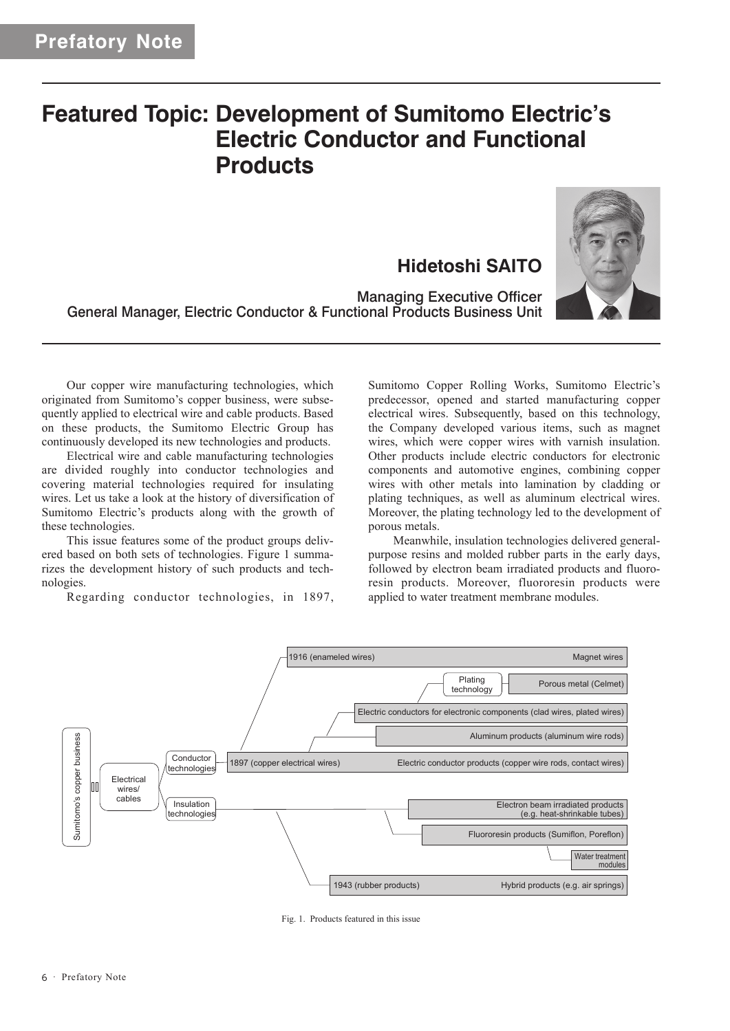## **Featured Topic: Development of Sumitomo Electric's Electric Conductor and Functional Products**

**Hidetoshi SAITO**



Managing Executive Officer General Manager, Electric Conductor & Functional Products Business Unit

Our copper wire manufacturing technologies, which originated from Sumitomo's copper business, were subsequently applied to electrical wire and cable products. Based on these products, the Sumitomo Electric Group has continuously developed its new technologies and products.

Electrical wire and cable manufacturing technologies are divided roughly into conductor technologies and covering material technologies required for insulating wires. Let us take a look at the history of diversification of Sumitomo Electric's products along with the growth of these technologies.

This issue features some of the product groups delivered based on both sets of technologies. Figure 1 summarizes the development history of such products and technologies.

Regarding conductor technologies, in 1897,

Sumitomo Copper Rolling Works, Sumitomo Electric's predecessor, opened and started manufacturing copper electrical wires. Subsequently, based on this technology, the Company developed various items, such as magnet wires, which were copper wires with varnish insulation. Other products include electric conductors for electronic components and automotive engines, combining copper wires with other metals into lamination by cladding or plating techniques, as well as aluminum electrical wires. Moreover, the plating technology led to the development of porous metals.

Meanwhile, insulation technologies delivered generalpurpose resins and molded rubber parts in the early days, followed by electron beam irradiated products and fluororesin products. Moreover, fluororesin products were applied to water treatment membrane modules.



Fig. 1. Products featured in this issue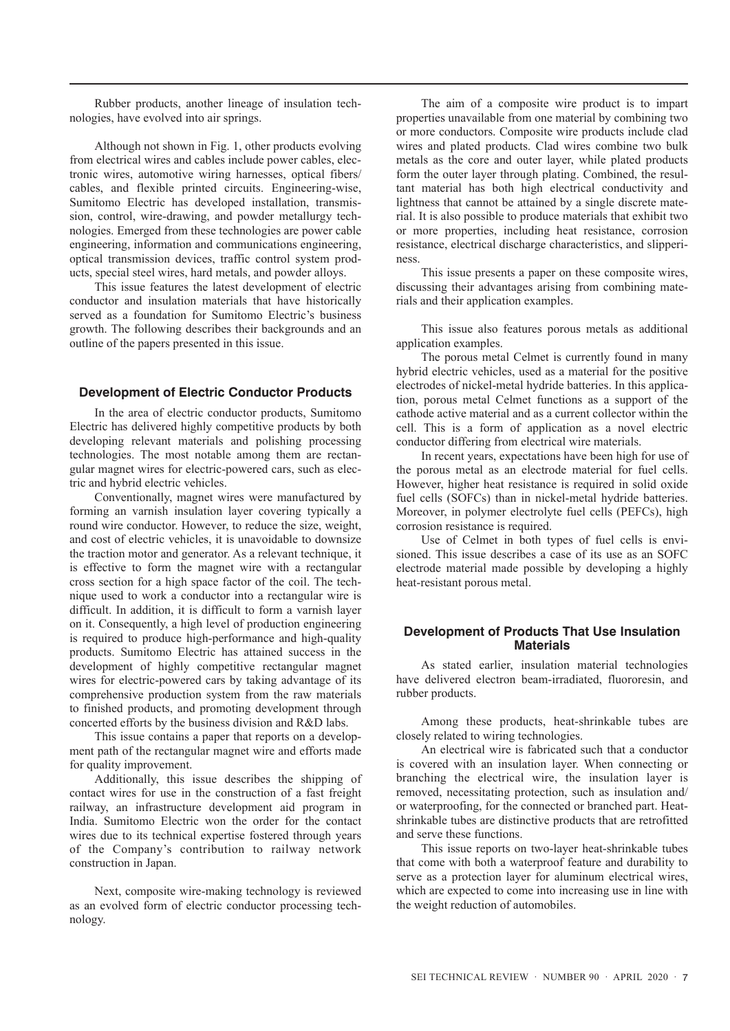Rubber products, another lineage of insulation technologies, have evolved into air springs.

Although not shown in Fig. 1, other products evolving from electrical wires and cables include power cables, electronic wires, automotive wiring harnesses, optical fibers/ cables, and flexible printed circuits. Engineering-wise, Sumitomo Electric has developed installation, transmission, control, wire-drawing, and powder metallurgy technologies. Emerged from these technologies are power cable engineering, information and communications engineering, optical transmission devices, traffic control system products, special steel wires, hard metals, and powder alloys.

This issue features the latest development of electric conductor and insulation materials that have historically served as a foundation for Sumitomo Electric's business growth. The following describes their backgrounds and an outline of the papers presented in this issue.

## **Development of Electric Conductor Products**

In the area of electric conductor products, Sumitomo Electric has delivered highly competitive products by both developing relevant materials and polishing processing technologies. The most notable among them are rectangular magnet wires for electric-powered cars, such as electric and hybrid electric vehicles.

Conventionally, magnet wires were manufactured by forming an varnish insulation layer covering typically a round wire conductor. However, to reduce the size, weight, and cost of electric vehicles, it is unavoidable to downsize the traction motor and generator. As a relevant technique, it is effective to form the magnet wire with a rectangular cross section for a high space factor of the coil. The technique used to work a conductor into a rectangular wire is difficult. In addition, it is difficult to form a varnish layer on it. Consequently, a high level of production engineering is required to produce high-performance and high-quality products. Sumitomo Electric has attained success in the development of highly competitive rectangular magnet wires for electric-powered cars by taking advantage of its comprehensive production system from the raw materials to finished products, and promoting development through concerted efforts by the business division and R&D labs.

This issue contains a paper that reports on a development path of the rectangular magnet wire and efforts made for quality improvement.

Additionally, this issue describes the shipping of contact wires for use in the construction of a fast freight railway, an infrastructure development aid program in India. Sumitomo Electric won the order for the contact wires due to its technical expertise fostered through years of the Company's contribution to railway network construction in Japan.

Next, composite wire-making technology is reviewed as an evolved form of electric conductor processing technology.

The aim of a composite wire product is to impart properties unavailable from one material by combining two or more conductors. Composite wire products include clad wires and plated products. Clad wires combine two bulk metals as the core and outer layer, while plated products form the outer layer through plating. Combined, the resultant material has both high electrical conductivity and lightness that cannot be attained by a single discrete material. It is also possible to produce materials that exhibit two or more properties, including heat resistance, corrosion resistance, electrical discharge characteristics, and slipperiness.

This issue presents a paper on these composite wires, discussing their advantages arising from combining materials and their application examples.

This issue also features porous metals as additional application examples.

The porous metal Celmet is currently found in many hybrid electric vehicles, used as a material for the positive electrodes of nickel-metal hydride batteries. In this application, porous metal Celmet functions as a support of the cathode active material and as a current collector within the cell. This is a form of application as a novel electric conductor differing from electrical wire materials.

In recent years, expectations have been high for use of the porous metal as an electrode material for fuel cells. However, higher heat resistance is required in solid oxide fuel cells (SOFCs) than in nickel-metal hydride batteries. Moreover, in polymer electrolyte fuel cells (PEFCs), high corrosion resistance is required.

Use of Celmet in both types of fuel cells is envisioned. This issue describes a case of its use as an SOFC electrode material made possible by developing a highly heat-resistant porous metal.

## **Development of Products That Use Insulation Materials**

As stated earlier, insulation material technologies have delivered electron beam-irradiated, fluororesin, and rubber products.

Among these products, heat-shrinkable tubes are closely related to wiring technologies.

An electrical wire is fabricated such that a conductor is covered with an insulation layer. When connecting or branching the electrical wire, the insulation layer is removed, necessitating protection, such as insulation and/ or waterproofing, for the connected or branched part. Heatshrinkable tubes are distinctive products that are retrofitted and serve these functions.

This issue reports on two-layer heat-shrinkable tubes that come with both a waterproof feature and durability to serve as a protection layer for aluminum electrical wires, which are expected to come into increasing use in line with the weight reduction of automobiles.